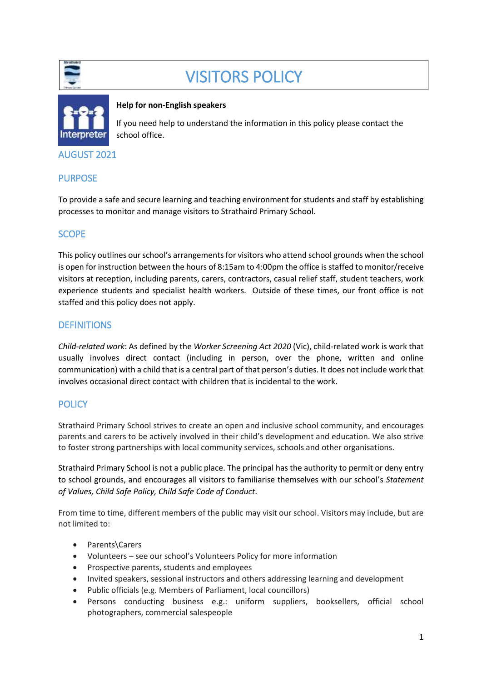

# VISITORS POLICY



#### **Help for non-English speakers**

If you need help to understand the information in this policy please contact the school office.

### AUGUST 2021

# PURPOSE

To provide a safe and secure learning and teaching environment for students and staff by establishing processes to monitor and manage visitors to Strathaird Primary School.

# **SCOPE**

This policy outlines our school's arrangements for visitors who attend school grounds when the school is open for instruction between the hours of 8:15am to 4:00pm the office is staffed to monitor/receive visitors at reception, including parents, carers, contractors, casual relief staff, student teachers, work experience students and specialist health workers. Outside of these times, our front office is not staffed and this policy does not apply.

# **DEFINITIONS**

*Child-related work*: As defined by the *Worker Screening Act 2020* (Vic), child-related work is work that usually involves direct contact (including in person, over the phone, written and online communication) with a child that is a central part of that person's duties. It does not include work that involves occasional direct contact with children that is incidental to the work.

# **POLICY**

Strathaird Primary School strives to create an open and inclusive school community, and encourages parents and carers to be actively involved in their child's development and education. We also strive to foster strong partnerships with local community services, schools and other organisations.

Strathaird Primary School is not a public place. The principal has the authority to permit or deny entry to school grounds, and encourages all visitors to familiarise themselves with our school's *Statement of Values, Child Safe Policy, Child Safe Code of Conduct*.

From time to time, different members of the public may visit our school. Visitors may include, but are not limited to:

- Parents\Carers
- Volunteers see our school's Volunteers Policy for more information
- Prospective parents, students and employees
- Invited speakers, sessional instructors and others addressing learning and development
- Public officials (e.g. Members of Parliament, local councillors)
- Persons conducting business e.g.: uniform suppliers, booksellers, official school photographers, commercial salespeople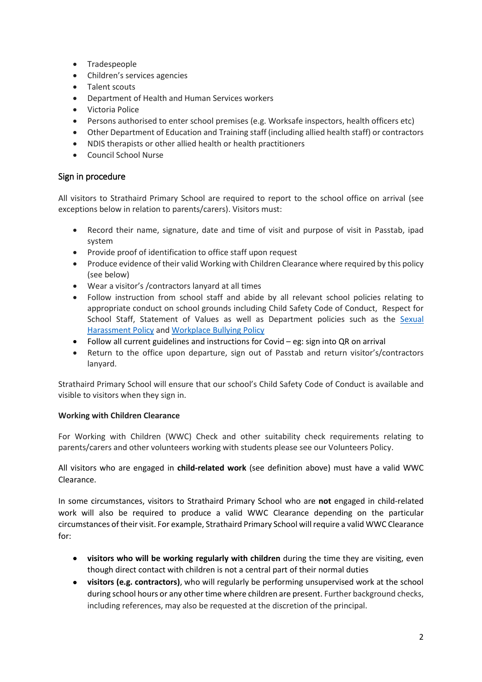- Tradespeople
- Children's services agencies
- Talent scouts
- Department of Health and Human Services workers
- Victoria Police
- Persons authorised to enter school premises (e.g. Worksafe inspectors, health officers etc)
- Other Department of Education and Training staff (including allied health staff) or contractors
- NDIS therapists or other allied health or health practitioners
- Council School Nurse

# Sign in procedure

All visitors to Strathaird Primary School are required to report to the school office on arrival (see exceptions below in relation to parents/carers). Visitors must:

- Record their name, signature, date and time of visit and purpose of visit in Passtab, ipad system
- Provide proof of identification to office staff upon request
- Produce evidence of their valid Working with Children Clearance where required by this policy (see below)
- Wear a visitor's /contractors lanyard at all times
- Follow instruction from school staff and abide by all relevant school policies relating to appropriate conduct on school grounds including Child Safety Code of Conduct, Respect for School Staff, Statement of Values as well as Department policies such as the [Sexual](https://www2.education.vic.gov.au/pal/sexual-harassment/overview)  [Harassment Policy](https://www2.education.vic.gov.au/pal/sexual-harassment/overview) and [Workplace Bullying Policy](https://www2.education.vic.gov.au/pal/workplace-bullying/policy)
- Follow all current guidelines and instructions for Covid eg: sign into QR on arrival
- Return to the office upon departure, sign out of Passtab and return visitor's/contractors lanyard.

Strathaird Primary School will ensure that our school's Child Safety Code of Conduct is available and visible to visitors when they sign in.

#### **Working with Children Clearance**

For Working with Children (WWC) Check and other suitability check requirements relating to parents/carers and other volunteers working with students please see our Volunteers Policy.

All visitors who are engaged in **child-related work** (see definition above) must have a valid WWC Clearance.

In some circumstances, visitors to Strathaird Primary School who are **not** engaged in child-related work will also be required to produce a valid WWC Clearance depending on the particular circumstances of their visit. For example, Strathaird Primary School will require a valid WWC Clearance for:

- **visitors who will be working regularly with children** during the time they are visiting, even though direct contact with children is not a central part of their normal duties
- **visitors (e.g. contractors)**, who will regularly be performing unsupervised work at the school during school hours or any other time where children are present. Further background checks, including references, may also be requested at the discretion of the principal.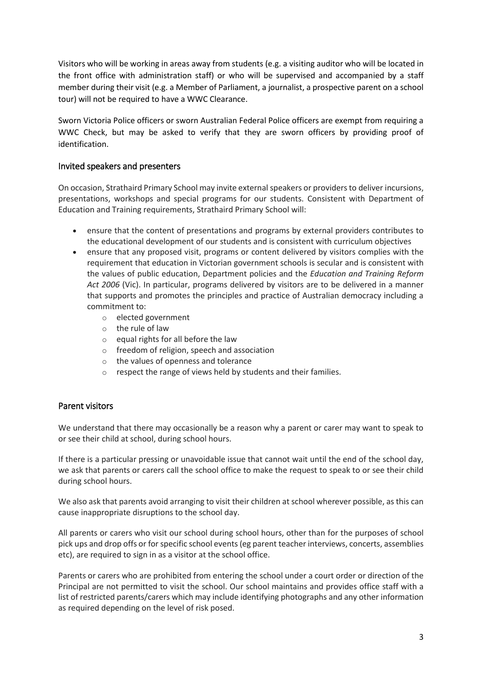Visitors who will be working in areas away from students (e.g. a visiting auditor who will be located in the front office with administration staff) or who will be supervised and accompanied by a staff member during their visit (e.g. a Member of Parliament, a journalist, a prospective parent on a school tour) will not be required to have a WWC Clearance.

Sworn Victoria Police officers or sworn Australian Federal Police officers are exempt from requiring a WWC Check, but may be asked to verify that they are sworn officers by providing proof of identification.

# Invited speakers and presenters

On occasion, Strathaird Primary School may invite external speakers or providersto deliver incursions, presentations, workshops and special programs for our students. Consistent with Department of Education and Training requirements, Strathaird Primary School will:

- ensure that the content of presentations and programs by external providers contributes to the educational development of our students and is consistent with curriculum objectives
- ensure that any proposed visit, programs or content delivered by visitors complies with the requirement that education in Victorian government schools is secular and is consistent with the values of public education, Department policies and the *Education and Training Reform Act 2006* (Vic). In particular, programs delivered by visitors are to be delivered in a manner that supports and promotes the principles and practice of Australian democracy including a commitment to:
	- o elected government
	- o the rule of law
	- $\circ$  equal rights for all before the law
	- o freedom of religion, speech and association
	- o the values of openness and tolerance
	- o respect the range of views held by students and their families.

#### Parent visitors

We understand that there may occasionally be a reason why a parent or carer may want to speak to or see their child at school, during school hours.

If there is a particular pressing or unavoidable issue that cannot wait until the end of the school day, we ask that parents or carers call the school office to make the request to speak to or see their child during school hours.

We also ask that parents avoid arranging to visit their children at school wherever possible, as this can cause inappropriate disruptions to the school day.

All parents or carers who visit our school during school hours, other than for the purposes of school pick ups and drop offs or for specific school events (eg parent teacher interviews, concerts, assemblies etc), are required to sign in as a visitor at the school office.

Parents or carers who are prohibited from entering the school under a court order or direction of the Principal are not permitted to visit the school. Our school maintains and provides office staff with a list of restricted parents/carers which may include identifying photographs and any other information as required depending on the level of risk posed.